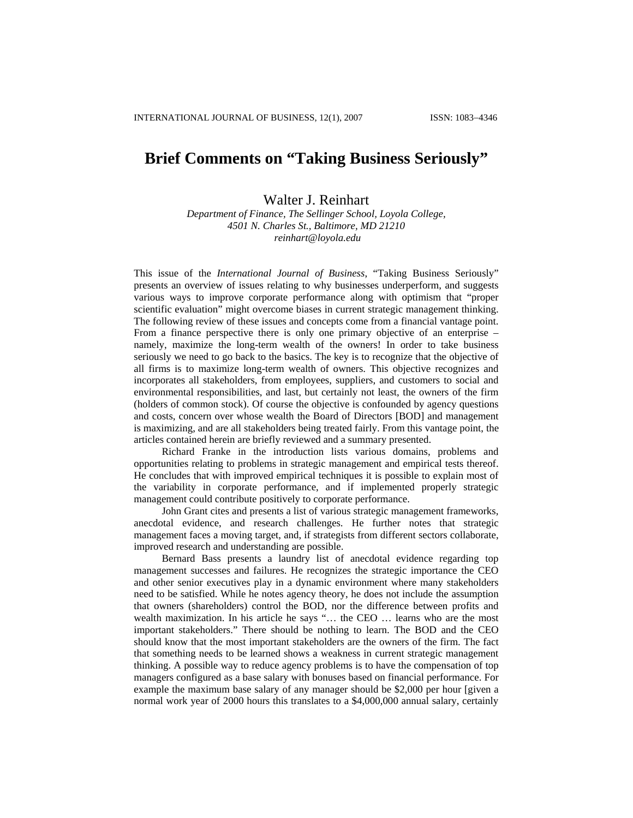## **Brief Comments on "Taking Business Seriously"**

## Walter J. Reinhart

*Department of Finance, The Sellinger School, Loyola College, 4501 N. Charles St., Baltimore, MD 21210 [reinhart@loyola.edu](mailto:reinhart@loyola.edu)*

This issue of the *International Journal of Business*, "Taking Business Seriously" presents an overview of issues relating to why businesses underperform, and suggests various ways to improve corporate performance along with optimism that "proper scientific evaluation" might overcome biases in current strategic management thinking. The following review of these issues and concepts come from a financial vantage point. From a finance perspective there is only one primary objective of an enterprise – namely, maximize the long-term wealth of the owners! In order to take business seriously we need to go back to the basics. The key is to recognize that the objective of all firms is to maximize long-term wealth of owners. This objective recognizes and incorporates all stakeholders, from employees, suppliers, and customers to social and environmental responsibilities, and last, but certainly not least, the owners of the firm (holders of common stock). Of course the objective is confounded by agency questions and costs, concern over whose wealth the Board of Directors [BOD] and management is maximizing, and are all stakeholders being treated fairly. From this vantage point, the articles contained herein are briefly reviewed and a summary presented.

Richard Franke in the introduction lists various domains, problems and opportunities relating to problems in strategic management and empirical tests thereof. He concludes that with improved empirical techniques it is possible to explain most of the variability in corporate performance, and if implemented properly strategic management could contribute positively to corporate performance.

John Grant cites and presents a list of various strategic management frameworks, anecdotal evidence, and research challenges. He further notes that strategic management faces a moving target, and, if strategists from different sectors collaborate, improved research and understanding are possible.

Bernard Bass presents a laundry list of anecdotal evidence regarding top management successes and failures. He recognizes the strategic importance the CEO and other senior executives play in a dynamic environment where many stakeholders need to be satisfied. While he notes agency theory, he does not include the assumption that owners (shareholders) control the BOD, nor the difference between profits and wealth maximization. In his article he says "... the CEO ... learns who are the most important stakeholders." There should be nothing to learn. The BOD and the CEO should know that the most important stakeholders are the owners of the firm. The fact that something needs to be learned shows a weakness in current strategic management thinking. A possible way to reduce agency problems is to have the compensation of top managers configured as a base salary with bonuses based on financial performance. For example the maximum base salary of any manager should be \$2,000 per hour [given a normal work year of 2000 hours this translates to a \$4,000,000 annual salary, certainly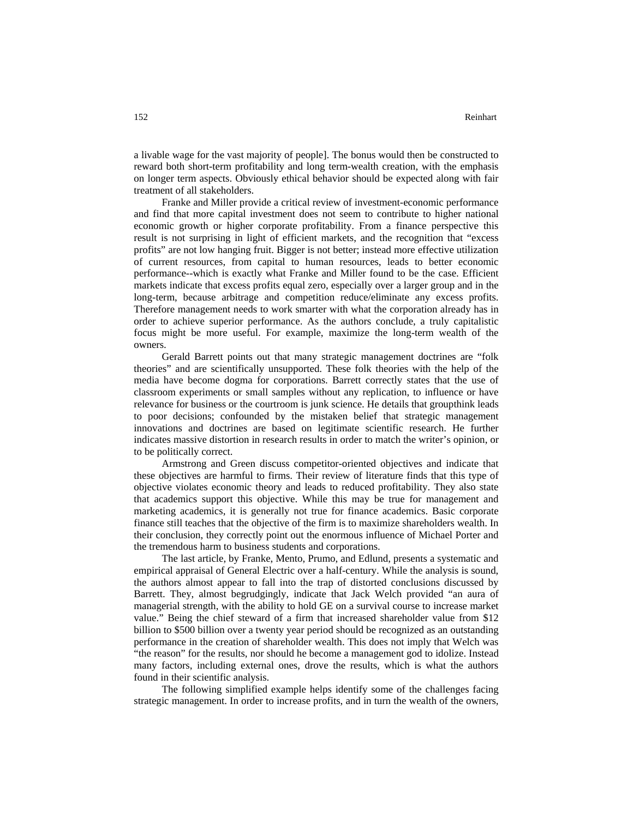a livable wage for the vast majority of people]. The bonus would then be constructed to reward both short-term profitability and long term-wealth creation, with the emphasis on longer term aspects. Obviously ethical behavior should be expected along with fair treatment of all stakeholders.

Franke and Miller provide a critical review of investment-economic performance and find that more capital investment does not seem to contribute to higher national economic growth or higher corporate profitability. From a finance perspective this result is not surprising in light of efficient markets, and the recognition that "excess profits" are not low hanging fruit. Bigger is not better; instead more effective utilization of current resources, from capital to human resources, leads to better economic performance--which is exactly what Franke and Miller found to be the case. Efficient markets indicate that excess profits equal zero, especially over a larger group and in the long-term, because arbitrage and competition reduce/eliminate any excess profits. Therefore management needs to work smarter with what the corporation already has in order to achieve superior performance. As the authors conclude, a truly capitalistic focus might be more useful. For example, maximize the long-term wealth of the owners.

Gerald Barrett points out that many strategic management doctrines are "folk theories" and are scientifically unsupported. These folk theories with the help of the media have become dogma for corporations. Barrett correctly states that the use of classroom experiments or small samples without any replication, to influence or have relevance for business or the courtroom is junk science. He details that groupthink leads to poor decisions; confounded by the mistaken belief that strategic management innovations and doctrines are based on legitimate scientific research. He further indicates massive distortion in research results in order to match the writer's opinion, or to be politically correct.

Armstrong and Green discuss competitor-oriented objectives and indicate that these objectives are harmful to firms. Their review of literature finds that this type of objective violates economic theory and leads to reduced profitability. They also state that academics support this objective. While this may be true for management and marketing academics, it is generally not true for finance academics. Basic corporate finance still teaches that the objective of the firm is to maximize shareholders wealth. In their conclusion, they correctly point out the enormous influence of Michael Porter and the tremendous harm to business students and corporations.

The last article, by Franke, Mento, Prumo, and Edlund, presents a systematic and empirical appraisal of General Electric over a half-century. While the analysis is sound, the authors almost appear to fall into the trap of distorted conclusions discussed by Barrett. They, almost begrudgingly, indicate that Jack Welch provided "an aura of managerial strength, with the ability to hold GE on a survival course to increase market value." Being the chief steward of a firm that increased shareholder value from \$12 billion to \$500 billion over a twenty year period should be recognized as an outstanding performance in the creation of shareholder wealth. This does not imply that Welch was "the reason" for the results, nor should he become a management god to idolize. Instead many factors, including external ones, drove the results, which is what the authors found in their scientific analysis.

The following simplified example helps identify some of the challenges facing strategic management. In order to increase profits, and in turn the wealth of the owners,